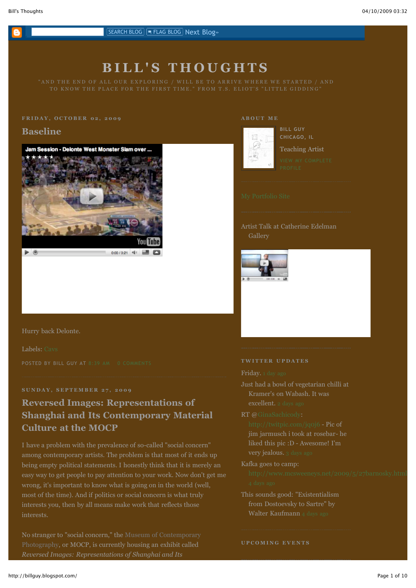

# **B I L L ' S T H O U G H T S**

## **Baseline**



#### **A B O U T M E**



#### **BILL GUY CHICAGO, IL**

Teaching Artist

Artist Talk at Catherine Edelman Gallery



#### Hurry back Delonte.

#### Labels: [Cavs](http://billguy.blogspot.com/search/label/Cavs)

### **S U N D A Y , S E P T E M B E R 2 7 , 2 0 0 9**

# **Reversed Images: Representations of Shanghai and Its Contemporary Material Culture at the MOCP**

among contemporary artists. The problem is that most of it ends up being empty political statements. I honestly think that it is merely an easy way to get people to pay attention to your work. Now don't get me wrong, it's important to know what is going on in the world (well, interests.

[No stranger to "social concern," the Museum of Contemporary](http://www.mocp.org/exhibitions/2009/09/reversed_images.php) Photography, or MOCP, is currently housing an exhibit called *Reversed Images: Representations of Shanghai and Its*

#### **T W I T T E R U P D A T E S**

- Just had a bowl of vegetarian chilli at Kramer's on Wabash. It was
	- excellent. [2 days ago](http://twitter.com/BillJGuy/statuses/4530183946)

#### RT @[GinaSachicody:](http://twitter.com/GinaSachicody)

<http://twitpic.com/jq0j6> - Pic of jim jarmusch i took at rosebar- he

#### Kafka goes to camp:

### This sounds good: "Existentialism from Dostoevsky to Sartre" by Walter Kaufmann [4 days ago](http://twitter.com/BillJGuy/statuses/4473427508)

#### **U P C O M I N G E V E N T S**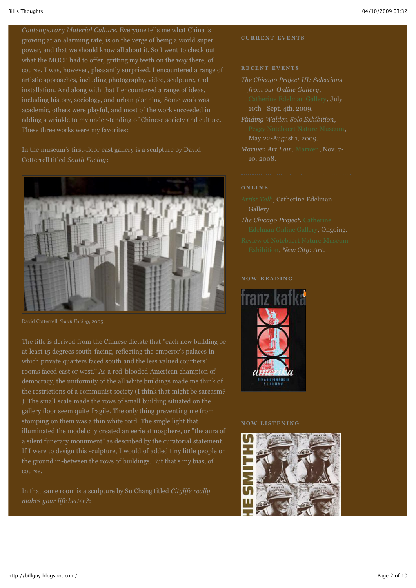*Contemporary Material Culture*. Everyone tells me what China is growing at an alarming rate, is on the verge of being a world super power, and that we should know all about it. So I went to check out what the MOCP had to offer, gritting my teeth on the way there, of course. I was, however, pleasantly surprised. I encountered a range of artistic approaches, including photography, video, sculpture, and installation. And along with that I encountered a range of ideas, including history, sociology, and urban planning. Some work was academic, others were playful, and most of the work succeeded in adding a wrinkle to my understanding of Chinese society and culture. These three works were my favorites:

In the museum's first-floor east gallery is a sculpture by David Cotterrell titled *South Facing*:



David Cotterrell, *South Facing*, 2005.

The title is derived from the Chinese dictate that "each new building be at least 15 degrees south-facing, reflecting the emperor's palaces in which private quarters faced south and the less valued courtiers' rooms faced east or west." As a red-blooded American champion of democracy, the uniformity of the all white buildings made me think of the restrictions of a communist society (I think that might be sarcasm? ). The small scale made the rows of small building situated on the gallery floor seem quite fragile. The only thing preventing me from stomping on them was a thin white cord. The single light that illuminated the model city created an eerie atmosphere, or "the aura of a silent funerary monument" as described by the curatorial statement. If I were to design this sculpture, I would of added tiny little people on the ground in-between the rows of buildings. But that's my bias, of course.

In that same room is a sculpture by Su Chang titled *Citylife really makes your life better?*:

#### **C U R R E N T E V E N T S**

#### **R E C E N T E V E N T S**

- *The Chicago Project III: Selections from our Online Gallery*, 10th - Sept. 4th, 2009.
- *Finding Walden Solo Exhibition*, May 22-August 1, 2009.
- *Marwen Art Fair*, [Marwen](http://www.marwen.org/site/epage/14149_431.htm), Nov. 7- 10, 2008.

- *[Artist Talk](http://edelmangallery.com/Artist_Talk/Chicago_Project_3/guyvideo.htm)*, Catherine Edelman
- *The Chicago Project*, Catherine [Edelman Online Gallery, Ong](http://www.edelmangallery.com/guy.htm)oing.

#### **N O W R E A D I N G**



#### **N O W L I S T E N I N G**

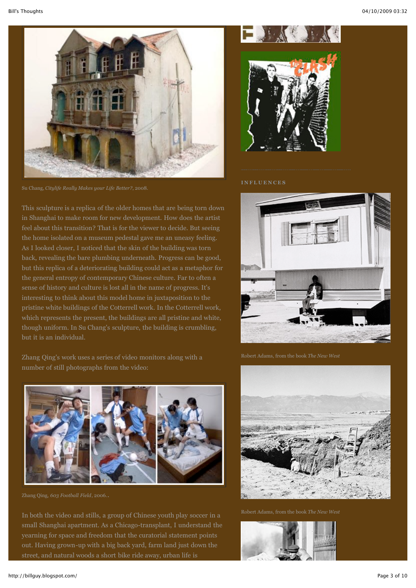

Su Chang, *Citylife Really Makes your Life Better?*, 2008.

This sculpture is a replica of the older homes that are being torn down in Shanghai to make room for new development. How does the artist feel about this transition? That is for the viewer to decide. But seeing the home isolated on a museum pedestal gave me an uneasy feeling. As I looked closer, I noticed that the skin of the building was torn back, revealing the bare plumbing underneath. Progress can be good, but this replica of a deteriorating building could act as a metaphor for the general entropy of contemporary Chinese culture. Far to often a sense of history and culture is lost all in the name of progress. It's interesting to think about this model home in juxtaposition to the pristine white buildings of the Cotterrell work. In the Cotterrell work, which represents the present, the buildings are all pristine and white, though uniform. In Su Chang's sculpture, the building is crumbling, but it is an individual.

Zhang Qing's work uses a series of video monitors along with a number of still photographs from the video:



Zhang Qing, *603 Football Field*, 2006..

In both the video and stills, a group of Chinese youth play soccer in a small Shanghai apartment. As a Chicago-transplant, I understand the yearning for space and freedom that the curatorial statement points out. Having grown-up with a big back yard, farm land just down the



#### **INFLUENCES**





Robert Adams, from the book *The New West*